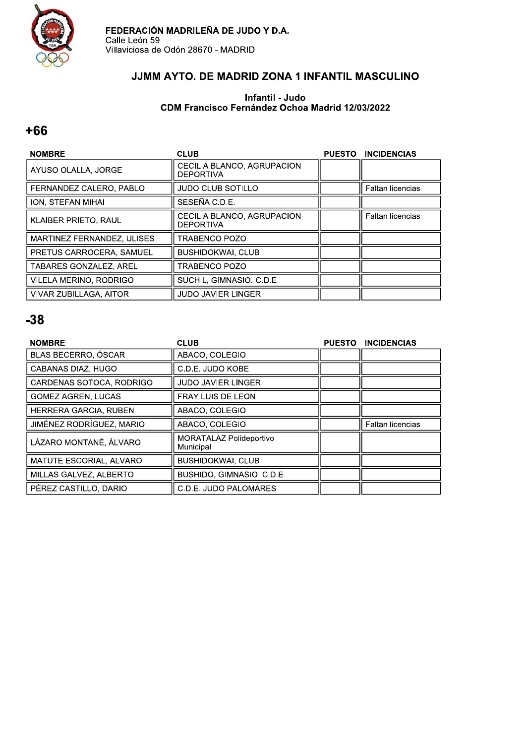

# JJMM AYTO. DE MADRID ZONA 1 INFANTIL MASCULINO

#### $\frac{1}{2}$ CDM Francisco Fernandez Ocnoa Madrid 12/03/2022

#### +66

| <b>NOMBRE</b>                 | <b>CLUB</b>                                    | <b>PUESTO</b> | <b>INCIDENCIAS</b>      |
|-------------------------------|------------------------------------------------|---------------|-------------------------|
| AYUSO OLALLA, JORGE           | CECILIA BLANCO, AGRUPACION<br><b>DEPORTIVA</b> |               |                         |
| FERNANDEZ CALERO, PABLO       | <b>JUDO CLUB SOTILLO</b>                       |               | Faltan licencias        |
| ION, STEFAN MIHAI             | SESEÑA C.D.E.                                  |               |                         |
| KLAIBER PRIETO, RAUL          | CECILIA BLANCO, AGRUPACION<br><b>DEPORTIVA</b> |               | <b>Faltan licencias</b> |
| MARTINEZ FERNANDEZ, ULISES    | TRABENCO POZO                                  |               |                         |
| PRETUS CARROCERA, SAMUEL      | <b>BUSHIDOKWAI, CLUB</b>                       |               |                         |
| <b>TABARES GONZALEZ, AREL</b> | TRABENCO POZO                                  |               |                         |
| VILELA MERINO, RODRIGO        | SUCHIL, GIMNASIO.-C.D.E.                       |               |                         |
| VIVAR ZUBILLAGA, AITOR        | <b>JUDO JAVIER LINGER</b>                      |               |                         |

| <b>NOMBRE</b>             | <b>CLUB</b>                          | <b>PUESTO</b> | <b>INCIDENCIAS</b> |
|---------------------------|--------------------------------------|---------------|--------------------|
| BLAS BECERRO, ÓSCAR       | ABACO, COLEGIO                       |               |                    |
| <b>CABANAS DIAZ, HUGO</b> | C.D.E. JUDO KOBE                     |               |                    |
| CARDENAS SOTOCA, RODRIGO  | <b>JUDO JAVIER LINGER</b>            |               |                    |
| <b>GOMEZ AGREN, LUCAS</b> | <b>FRAY LUIS DE LEON</b>             |               |                    |
| HERRERA GARCIA, RUBEN     | ABACO, COLEGIO                       |               |                    |
| JIMÉNEZ RODRÍGUEZ, MARIO  | ABACO, COLEGIO                       |               | Faltan licencias   |
| LÁZARO MONTANÉ, ÁLVARO    | MORATALAZ Polideportivo<br>Municipal |               |                    |
| MATUTE ESCORIAL, ALVARO   | <b>BUSHIDOKWAI, CLUB</b>             |               |                    |
| MILLAS GALVEZ, ALBERTO    | BUSHIDO, GIMNASIO, C.D.E.            |               |                    |
| PÉREZ CASTILLO, DARIO     | C.D.E. JUDO PALOMARES                |               |                    |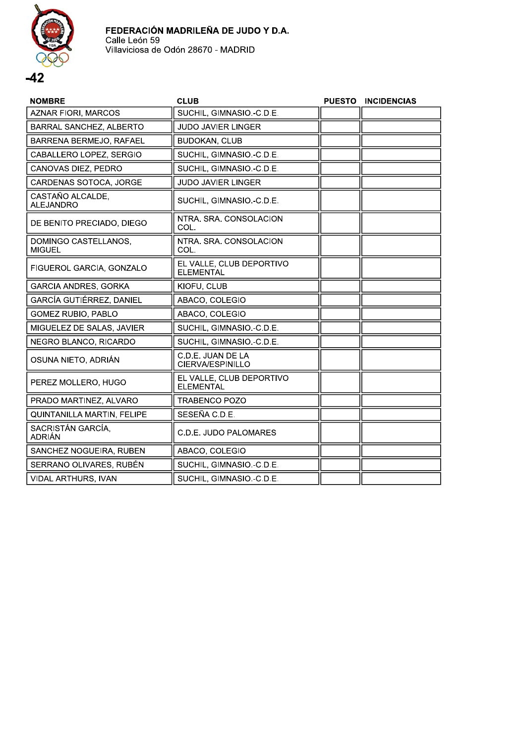

| <b>NOMBRE</b>                         | <b>CLUB</b>                                  | <b>PUESTO</b> | <b>INCIDENCIAS</b> |
|---------------------------------------|----------------------------------------------|---------------|--------------------|
| <b>AZNAR FIORI, MARCOS</b>            | SUCHIL, GIMNASIO.-C.D.E.                     |               |                    |
| <b>BARRAL SANCHEZ, ALBERTO</b>        | JUDO JAVIER LINGER                           |               |                    |
| BARRENA BERMEJO, RAFAEL               | <b>BUDOKAN, CLUB</b>                         |               |                    |
| CABALLERO LOPEZ, SERGIO               | SUCHIL, GIMNASIO.-C.D.E.                     |               |                    |
| CANOVAS DIEZ, PEDRO                   | SUCHIL, GIMNASIO.-C.D.E.                     |               |                    |
| CARDENAS SOTOCA, JORGE                | <b>JUDO JAVIER LINGER</b>                    |               |                    |
| CASTAÑO ALCALDE,<br><b>ALEJANDRO</b>  | SUCHIL, GIMNASIO.-C.D.E.                     |               |                    |
| DE BENITO PRECIADO, DIEGO             | NTRA, SRA, CONSOLACION<br>COL.               |               |                    |
| DOMINGO CASTELLANOS,<br><b>MIGUEL</b> | NTRA. SRA. CONSOLACION<br>COL.               |               |                    |
| FIGUEROL GARCIA, GONZALO              | EL VALLE, CLUB DEPORTIVO<br><b>ELEMENTAL</b> |               |                    |
| <b>GARCIA ANDRES, GORKA</b>           | KIOFU, CLUB                                  |               |                    |
| GARCÍA GUTIÉRREZ, DANIEL              | ABACO, COLEGIO                               |               |                    |
| <b>GOMEZ RUBIO, PABLO</b>             | ABACO, COLEGIO                               |               |                    |
| MIGUELEZ DE SALAS, JAVIER             | SUCHIL, GIMNASIO.-C.D.E.                     |               |                    |
| NEGRO BLANCO, RICARDO                 | SUCHIL, GIMNASIO.-C.D.E.                     |               |                    |
| OSUNA NIETO, ADRIÁN                   | C.D.E. JUAN DE LA<br>CIERVA/ESPINILLO        |               |                    |
| PEREZ MOLLERO, HUGO                   | EL VALLE, CLUB DEPORTIVO<br><b>ELEMENTAL</b> |               |                    |
| PRADO MARTINEZ, ALVARO                | <b>TRABENCO POZO</b>                         |               |                    |
| QUINTANILLA MARTIN, FELIPE            | SESEÑA C.D.E.                                |               |                    |
| SACRISTÁN GARCÍA,<br><b>ADRIÁN</b>    | C.D.E. JUDO PALOMARES                        |               |                    |
| SANCHEZ NOGUEIRA, RUBEN               | ABACO, COLEGIO                               |               |                    |
| SERRANO OLIVARES, RUBÉN               | SUCHIL, GIMNASIO.-C.D.E.                     |               |                    |
| VIDAL ARTHURS, IVAN                   | SUCHIL, GIMNASIO.-C.D.E.                     |               |                    |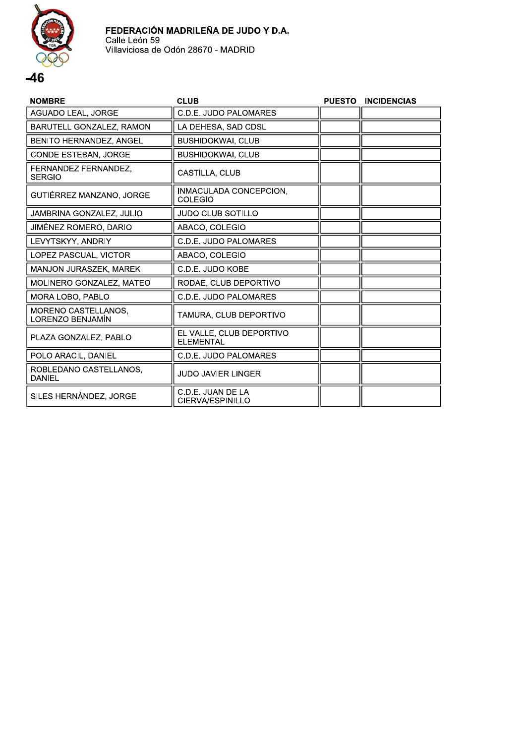

.46

#### **NOMBRE CLUB** PUESTO INCIDENCIAS **AGUADO LEAL, JORGE C.D.E. JUDO PALOMARES** LA DEHESA, SAD CDSL BARUTELL GONZALEZ, RAMON BENITO HERNANDEZ, ANGEL **BUSHIDOKWAI, CLUB BUSHIDOKWAI, CLUB CONDE ESTEBAN, JORGE** FERNANDEZ FERNANDEZ, CASTILLA, CLUB **SERGIO** INMACULADA CONCEPCION. GUTIÉRREZ MANZANO, JORGE COLEGIO JAMBRINA GONZALEZ, JULIO **JUDO CLUB SOTILLO** JIMÉNEZ ROMERO, DARIO ABACO, COLEGIO **C.D.E. JUDO PALOMARES** LEVYTSKYY, ANDRIY LOPEZ PASCUAL, VICTOR ABACO, COLEGIO MANJON JURASZEK, MAREK C.D.E. JUDO KOBE MOLINERO GONZALEZ, MATEO RODAE, CLUB DEPORTIVO C.D.E. JUDO PALOMARES MORA LOBO, PABLO MORENO CASTELLANOS, TAMURA, CLUB DEPORTIVO LORENZO BENJAMÍN EL VALLE, CLUB DEPORTIVO PLAZA GONZALEZ, PABLO **ELEMENTAL** POLO ARACIL, DANIEL C.D.E. JUDO PALOMARES ROBLEDANO CASTELLANOS, **JUDO JAVIER LINGER DANIEL** C.D.E. JUAN DE LA SILES HERNÁNDEZ, JORGE CIERVA/ESPINILLO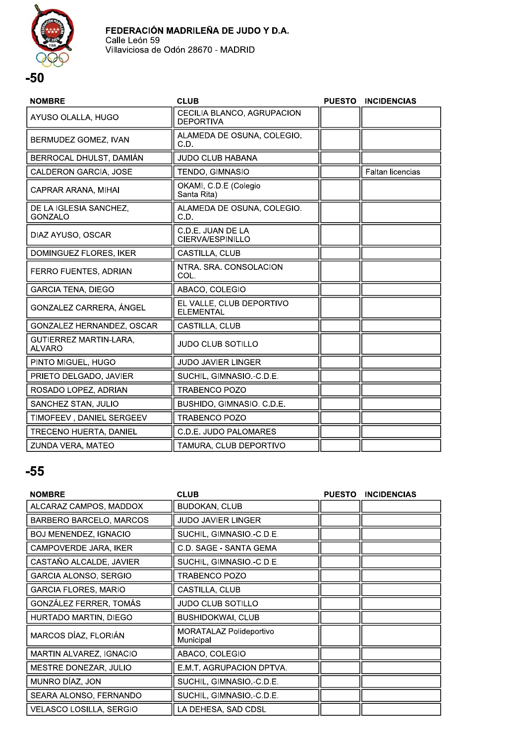

| <b>NOMBRE</b>                           | <b>CLUB</b>                                    | <b>PUESTO</b> | <b>INCIDENCIAS</b> |
|-----------------------------------------|------------------------------------------------|---------------|--------------------|
| AYUSO OLALLA, HUGO                      | CECILIA BLANCO, AGRUPACION<br><b>DEPORTIVA</b> |               |                    |
| BERMUDEZ GOMEZ, IVAN                    | ALAMEDA DE OSUNA, COLEGIO.<br>C.D.             |               |                    |
| BERROCAL DHULST, DAMIÁN                 | <b>JUDO CLUB HABANA</b>                        |               |                    |
| CALDERON GARCIA, JOSE                   | TENDO, GIMNASIO                                |               | Faltan licencias   |
| CAPRAR ARANA, MIHAI                     | OKAMI, C.D.E (Colegio<br>Santa Rita)           |               |                    |
| DE LA IGLESIA SANCHEZ,<br>GONZALO       | ALAMEDA DE OSUNA, COLEGIO.<br>C.D.             |               |                    |
| DIAZ AYUSO, OSCAR                       | C.D.E. JUAN DE LA<br>CIERVA/ESPINILLO          |               |                    |
| DOMINGUEZ FLORES, IKER                  | CASTILLA, CLUB                                 |               |                    |
| FERRO FUENTES, ADRIAN                   | NTRA, SRA, CONSOLACION<br>COL.                 |               |                    |
| <b>GARCIA TENA, DIEGO</b>               | ABACO, COLEGIO                                 |               |                    |
| GONZALEZ CARRERA, ÁNGEL                 | EL VALLE, CLUB DEPORTIVO<br><b>ELEMENTAL</b>   |               |                    |
| GONZALEZ HERNANDEZ, OSCAR               | CASTILLA, CLUB                                 |               |                    |
| GUTIERREZ MARTIN-LARA,<br><b>ALVARO</b> | <b>JUDO CLUB SOTILLO</b>                       |               |                    |
| PINTO MIGUEL, HUGO                      | <b>JUDO JAVIER LINGER</b>                      |               |                    |
| PRIETO DELGADO, JAVIER                  | SUCHIL, GIMNASIO.-C.D.E.                       |               |                    |
| ROSADO LOPEZ, ADRIAN                    | <b>TRABENCO POZO</b>                           |               |                    |
| SANCHEZ STAN, JULIO                     | BUSHIDO, GIMNASIO. C.D.E.                      |               |                    |
| TIMOFEEV, DANIEL SERGEEV                | TRABENCO POZO                                  |               |                    |
| TRECENO HUERTA, DANIEL                  | C.D.E. JUDO PALOMARES                          |               |                    |
| ZUNDA VERA, MATEO                       | TAMURA, CLUB DEPORTIVO                         |               |                    |

| <b>NOMBRE</b>                  | <b>CLUB</b>                          | <b>PUESTO</b> | <b>INCIDENCIAS</b> |
|--------------------------------|--------------------------------------|---------------|--------------------|
| ALCARAZ CAMPOS, MADDOX         | <b>BUDOKAN, CLUB</b>                 |               |                    |
| BARBERO BARCELO, MARCOS        | <b>JUDO JAVIER LINGER</b>            |               |                    |
| <b>BOJ MENENDEZ, IGNACIO</b>   | SUCHIL, GIMNASIO.-C.D.E.             |               |                    |
| CAMPOVERDE JARA, IKER          | C.D. SAGE - SANTA GEMA               |               |                    |
| CASTAÑO ALCALDE, JAVIER        | SUCHIL, GIMNASIO.-C.D.E.             |               |                    |
| <b>GARCIA ALONSO, SERGIO</b>   | TRABENCO POZO                        |               |                    |
| <b>GARCIA FLORES, MARIO</b>    | CASTILLA, CLUB                       |               |                    |
| GONZÁLEZ FERRER, TOMÁS         | <b>JUDO CLUB SOTILLO</b>             |               |                    |
| HURTADO MARTIN, DIEGO          | <b>BUSHIDOKWAI, CLUB</b>             |               |                    |
| MARCOS DÍAZ, FLORIÁN           | MORATALAZ Polideportivo<br>Municipal |               |                    |
| MARTIN ALVAREZ, IGNACIO        | ABACO, COLEGIO                       |               |                    |
| MESTRE DONEZAR, JULIO          | E.M.T. AGRUPACION DPTVA.             |               |                    |
| MUNRO DÍAZ, JON                | SUCHIL, GIMNASIO.-C.D.E.             |               |                    |
| SEARA ALONSO, FERNANDO         | SUCHIL, GIMNASIO.-C.D.E.             |               |                    |
| <b>VELASCO LOSILLA, SERGIO</b> | LA DEHESA, SAD CDSL                  |               |                    |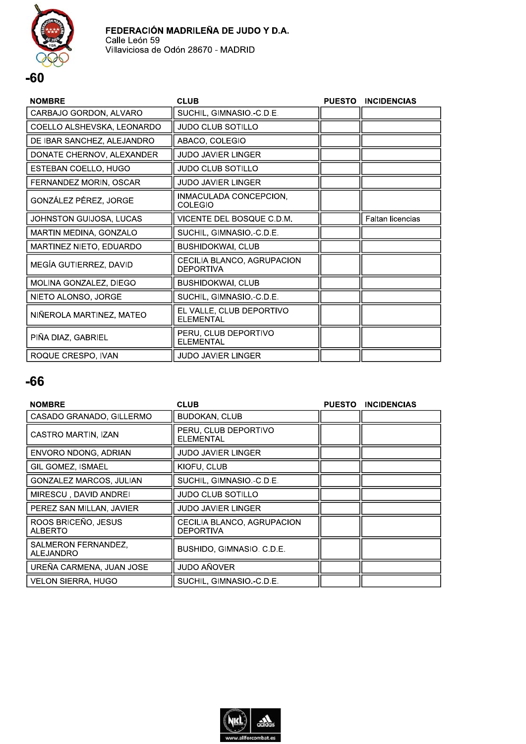



| <b>NOMBRE</b>              | <b>CLUB</b>                                    | <b>PUESTO</b> | <b>INCIDENCIAS</b>      |
|----------------------------|------------------------------------------------|---------------|-------------------------|
| CARBAJO GORDON, ALVARO     | SUCHIL, GIMNASIO.-C.D.E.                       |               |                         |
| COELLO ALSHEVSKA, LEONARDO | <b>JUDO CLUB SOTILLO</b>                       |               |                         |
| DE IBAR SANCHEZ, ALEJANDRO | ABACO, COLEGIO                                 |               |                         |
| DONATE CHERNOV, ALEXANDER  | <b>JUDO JAVIER LINGER</b>                      |               |                         |
| ESTEBAN COELLO, HUGO       | <b>JUDO CLUB SOTILLO</b>                       |               |                         |
| FERNANDEZ MORIN, OSCAR     | <b>JUDO JAVIER LINGER</b>                      |               |                         |
| GONZÁLEZ PÉREZ, JORGE      | INMACULADA CONCEPCION,<br><b>COLEGIO</b>       |               |                         |
| JOHNSTON GUIJOSA, LUCAS    | VICENTE DEL BOSQUE C.D.M.                      |               | <b>Faltan licencias</b> |
| MARTIN MEDINA, GONZALO     | SUCHIL, GIMNASIO.-C.D.E.                       |               |                         |
| MARTINEZ NIETO, EDUARDO    | <b>BUSHIDOKWAI, CLUB</b>                       |               |                         |
| MEGÍA GUTIERREZ, DAVID     | CECILIA BLANCO, AGRUPACION<br><b>DEPORTIVA</b> |               |                         |
| MOLINA GONZALEZ, DIEGO     | <b>BUSHIDOKWAI, CLUB</b>                       |               |                         |
| NIETO ALONSO, JORGE        | SUCHIL, GIMNASIO.-C.D.E.                       |               |                         |
| NIÑEROLA MARTINEZ, MATEO   | EL VALLE, CLUB DEPORTIVO<br><b>ELEMENTAL</b>   |               |                         |
| PIÑA DIAZ, GABRIEL         | PERU, CLUB DEPORTIVO<br><b>ELEMENTAL</b>       |               |                         |
| ROQUE CRESPO, IVAN         | <b>JUDO JAVIER LINGER</b>                      |               |                         |
|                            |                                                |               |                         |

| <b>NOMBRE</b>                           | <b>CLUB</b>                                    | <b>PUESTO</b> | <b>INCIDENCIAS</b> |
|-----------------------------------------|------------------------------------------------|---------------|--------------------|
| CASADO GRANADO, GILLERMO                | <b>BUDOKAN, CLUB</b>                           |               |                    |
| CASTRO MARTIN, IZAN                     | PERU, CLUB DEPORTIVO<br><b>ELEMENTAL</b>       |               |                    |
| ENVORO NDONG, ADRIAN                    | JUDO JAVIER LINGER                             |               |                    |
| GIL GOMEZ, ISMAEL                       | KIOFU, CLUB                                    |               |                    |
| GONZALEZ MARCOS, JULIAN                 | SUCHIL, GIMNASIO.-C.D.E.                       |               |                    |
| MIRESCU, DAVID ANDREI                   | <b>JUDO CLUB SOTILLO</b>                       |               |                    |
| PEREZ SAN MILLAN, JAVIER                | <b>JUDO JAVIER LINGER</b>                      |               |                    |
| ROOS BRICEÑO, JESUS<br><b>ALBERTO</b>   | CECILIA BLANCO, AGRUPACION<br><b>DEPORTIVA</b> |               |                    |
| SALMERON FERNANDEZ.<br><b>ALEJANDRO</b> | BUSHIDO, GIMNASIO, C.D.E.                      |               |                    |
| UREÑA CARMENA, JUAN JOSE                | <b>JUDO AÑOVER</b>                             |               |                    |
| <b>VELON SIERRA, HUGO</b>               | SUCHIL, GIMNASIO.-C.D.E.                       |               |                    |

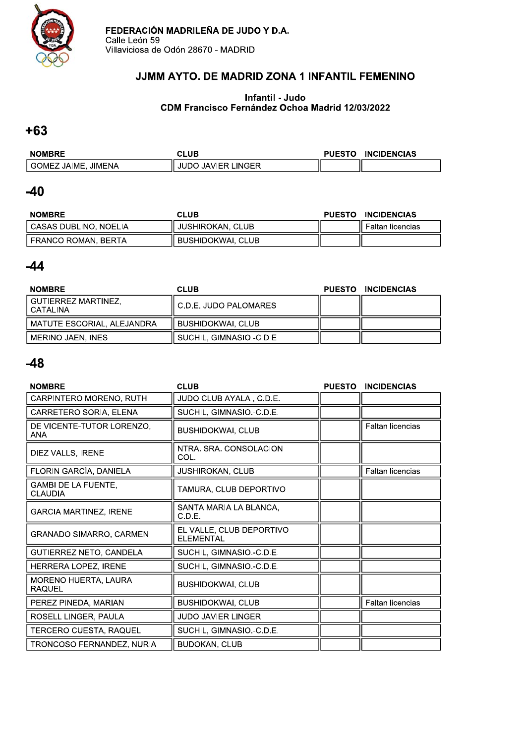

# JJMM AYTO. DE MADRID ZONA 1 INFANTIL FEMENINO

#### $\frac{1}{2}$ CDM Francisco Fernandez Ocnoa Madrid 12/03/2022

### $+63$

| <b>NOMBRE</b>                     | CLUB                         | <b>PUESTO</b> | <b>INCIDENCIAS</b> |
|-----------------------------------|------------------------------|---------------|--------------------|
| JIMENA<br><b>JAIME</b><br>l GOMEZ | ∟INGER<br>∴JAVIER I<br>JUDO. |               |                    |

### $-40$

| <b>NOMBRE</b>         | CLUB                     | <b>PUESTO</b> | <b>INCIDENCIAS</b> |
|-----------------------|--------------------------|---------------|--------------------|
| CASAS DUBLINO, NOELIA | JUSHIROKAN, CLUB         |               | Faltan licencias   |
| FRANCO ROMAN, BERTA   | <b>BUSHIDOKWAI, CLUB</b> |               |                    |

### $-44$

| <b>NOMBRE</b>                       | <b>CLUB</b>              | <b>PUESTO</b> | <b>INCIDENCIAS</b> |
|-------------------------------------|--------------------------|---------------|--------------------|
| l GUTIERREZ MARTINEZ.<br>I CATALINA | C.D.E. JUDO PALOMARES    |               |                    |
| I MATUTE ESCORIAL. ALEJANDRA        | BUSHIDOKWAI, CLUB        |               |                    |
| I MERINO JAEN. INES                 | SUCHIL, GIMNASIO.-C.D.E. |               |                    |

| <b>NOMBRE</b>                                | <b>CLUB</b>                                  | <b>PUESTO</b> | <b>INCIDENCIAS</b>      |
|----------------------------------------------|----------------------------------------------|---------------|-------------------------|
| CARPINTERO MORENO, RUTH                      | JUDO CLUB AYALA, C.D.E.                      |               |                         |
| CARRETERO SORIA, ELENA                       | SUCHIL, GIMNASIO.-C.D.E.                     |               |                         |
| DE VICENTE-TUTOR LORENZO,<br><b>ANA</b>      | <b>BUSHIDOKWAI, CLUB</b>                     |               | <b>Faltan licencias</b> |
| DIEZ VALLS, IRENE                            | NTRA, SRA, CONSOLACION<br>COL.               |               |                         |
| FLORIN GARCÍA, DANIELA                       | <b>JUSHIROKAN, CLUB</b>                      |               | <b>Faltan licencias</b> |
| <b>GAMBI DE LA FUENTE,</b><br><b>CLAUDIA</b> | TAMURA, CLUB DEPORTIVO                       |               |                         |
| <b>GARCIA MARTINEZ, IRENE</b>                | SANTA MARIA LA BLANCA,<br>C.D.E.             |               |                         |
| <b>GRANADO SIMARRO, CARMEN</b>               | EL VALLE, CLUB DEPORTIVO<br><b>ELEMENTAL</b> |               |                         |
| GUTIERREZ NETO, CANDELA                      | SUCHIL, GIMNASIO.-C.D.E.                     |               |                         |
| HERRERA LOPEZ, IRENE                         | SUCHIL, GIMNASIO.-C.D.E.                     |               |                         |
| MORENO HUERTA, LAURA<br><b>RAQUEL</b>        | <b>BUSHIDOKWAI, CLUB</b>                     |               |                         |
| PEREZ PINEDA, MARIAN                         | <b>BUSHIDOKWAI, CLUB</b>                     |               | Faltan licencias        |
| ROSELL LINGER, PAULA                         | <b>JUDO JAVIER LINGER</b>                    |               |                         |
| TERCERO CUESTA, RAQUEL                       | SUCHIL, GIMNASIO.-C.D.E.                     |               |                         |
| TRONCOSO FERNANDEZ, NURIA                    | <b>BUDOKAN, CLUB</b>                         |               |                         |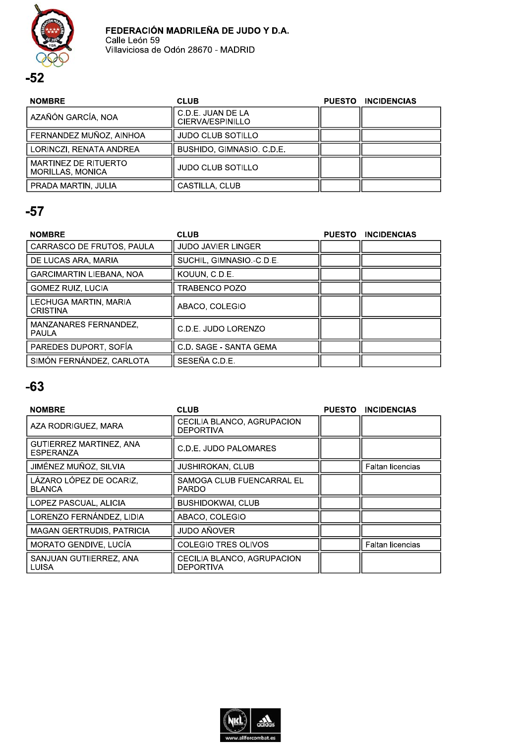

| <b>NOMBRE</b>                                   | <b>CLUB</b>                           | <b>PUESTO</b> | <b>INCIDENCIAS</b> |
|-------------------------------------------------|---------------------------------------|---------------|--------------------|
| AZAÑÓN GARCÍA, NOA                              | C.D.E. JUAN DE LA<br>CIERVA/ESPINILLO |               |                    |
| FERNANDEZ MUÑOZ, AINHOA                         | <b>JUDO CLUB SOTILLO</b>              |               |                    |
| LORINCZI, RENATA ANDREA                         | BUSHIDO, GIMNASIO. C.D.E.             |               |                    |
| MARTINEZ DE RITUERTO<br><b>MORILLAS, MONICA</b> | <b>JUDO CLUB SOTILLO</b>              |               |                    |
| PRADA MARTIN, JULIA                             | CASTILLA, CLUB                        |               |                    |

# $-57$

| <b>NOMBRE</b>                            | <b>CLUB</b>               | <b>PUESTO</b> | <b>INCIDENCIAS</b> |
|------------------------------------------|---------------------------|---------------|--------------------|
| CARRASCO DE FRUTOS, PAULA                | <b>JUDO JAVIER LINGER</b> |               |                    |
| DE LUCAS ARA, MARIA                      | SUCHIL, GIMNASIO.-C.D.E.  |               |                    |
| <b>GARCIMARTIN LIEBANA, NOA</b>          | KOUUN. C.D.E.             |               |                    |
| <b>GOMEZ RUIZ, LUCIA</b>                 | TRABENCO POZO             |               |                    |
| LECHUGA MARTIN, MARIA<br><b>CRISTINA</b> | ABACO, COLEGIO            |               |                    |
| MANZANARES FERNANDEZ.<br><b>PAULA</b>    | C.D.E. JUDO LORENZO       |               |                    |
| PAREDES DUPORT, SOFÍA                    | C.D. SAGE - SANTA GEMA    |               |                    |
| SIMÓN FERNÁNDEZ, CARLOTA                 | SESEÑA C.D.E.             |               |                    |

| <b>NOMBRE</b>                               | <b>CLUB</b>                                    | <b>PUESTO</b> | <b>INCIDENCIAS</b>      |
|---------------------------------------------|------------------------------------------------|---------------|-------------------------|
| AZA RODRIGUEZ, MARA                         | CECILIA BLANCO, AGRUPACION<br><b>DEPORTIVA</b> |               |                         |
| GUTIERREZ MARTINEZ, ANA<br><b>ESPERANZA</b> | C.D.E. JUDO PALOMARES                          |               |                         |
| JIMÉNEZ MUÑOZ, SILVIA                       | <b>JUSHIROKAN, CLUB</b>                        |               | Faltan licencias        |
| LÁZARO LÓPEZ DE OCARIZ,<br><b>BLANCA</b>    | SAMOGA CLUB FUENCARRAL EL<br><b>PARDO</b>      |               |                         |
| LOPEZ PASCUAL, ALICIA                       | <b>BUSHIDOKWAI, CLUB</b>                       |               |                         |
| LORENZO FERNÁNDEZ, LIDIA                    | ABACO, COLEGIO                                 |               |                         |
| <b>MAGAN GERTRUDIS, PATRICIA</b>            | JUDO AÑOVER                                    |               |                         |
| MORATO GENDIVE, LUCÍA                       | <b>COLEGIO TRES OLIVOS</b>                     |               | <b>Faltan licencias</b> |
| SANJUAN GUTIIERREZ, ANA<br><b>LUISA</b>     | CECILIA BLANCO, AGRUPACION<br><b>DEPORTIVA</b> |               |                         |

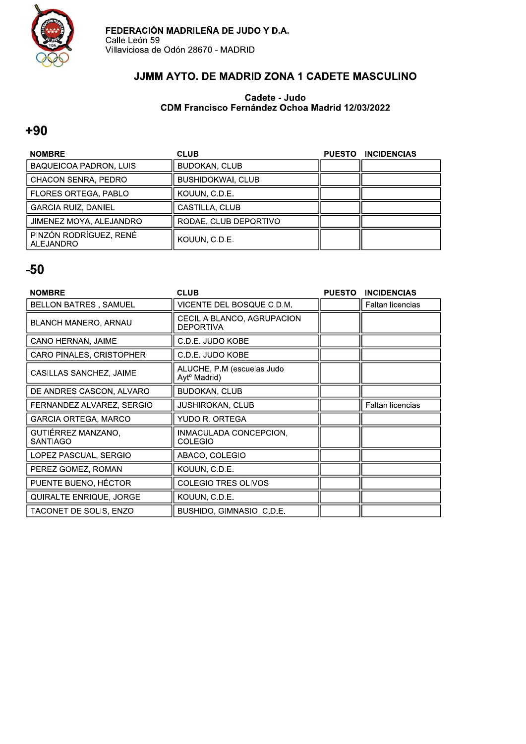

### JJMM AYTO. DE MADRID ZONA 1 CADETE MASCULINO

#### Cadete - Judo CDM Francisco Fernández Ochoa Madrid 12/03/2022

#### $+90$

| <b>NOMBRE</b>                       | <b>CLUB</b>              | <b>PUESTO</b> | <b>INCIDENCIAS</b> |
|-------------------------------------|--------------------------|---------------|--------------------|
| <b>BAQUEICOA PADRON, LUIS</b>       | <b>BUDOKAN, CLUB</b>     |               |                    |
| CHACON SENRA, PEDRO                 | <b>BUSHIDOKWAI, CLUB</b> |               |                    |
| FLORES ORTEGA, PABLO                | KOUUN, C.D.E.            |               |                    |
| <b>GARCIA RUIZ, DANIEL</b>          | CASTILLA, CLUB           |               |                    |
| JIMENEZ MOYA, ALEJANDRO             | RODAE, CLUB DEPORTIVO    |               |                    |
| PINZÓN RODRÍGUEZ, RENÉ<br>ALEJANDRO | KOUUN, C.D.E.            |               |                    |

| <b>NOMBRE</b>                   | <b>CLUB</b>                                            | <b>PUESTO</b> | <b>INCIDENCIAS</b> |
|---------------------------------|--------------------------------------------------------|---------------|--------------------|
| <b>BELLON BATRES, SAMUEL</b>    | VICENTE DEL BOSQUE C.D.M.                              |               | Faltan licencias   |
| BLANCH MANERO, ARNAU            | CECILIA BLANCO, AGRUPACION<br><b>DEPORTIVA</b>         |               |                    |
| CANO HERNAN, JAIME              | C.D.E. JUDO KOBE                                       |               |                    |
| <b>CARO PINALES, CRISTOPHER</b> | C.D.E. JUDO KOBE                                       |               |                    |
| CASILLAS SANCHEZ, JAIME         | ALUCHE, P.M (escuelas Judo<br>Ayt <sup>o</sup> Madrid) |               |                    |
| DE ANDRES CASCON, ALVARO        | <b>BUDOKAN, CLUB</b>                                   |               |                    |
| FERNANDEZ ALVAREZ, SERGIO       | <b>JUSHIROKAN, CLUB</b>                                |               | Faltan licencias   |
| GARCIA ORTEGA, MARCO            | YUDO R. ORTEGA                                         |               |                    |
| GUTIÉRREZ MANZANO,<br>SANTIAGO  | INMACULADA CONCEPCION,<br><b>COLEGIO</b>               |               |                    |
| LOPEZ PASCUAL, SERGIO           | ABACO, COLEGIO                                         |               |                    |
| PEREZ GOMEZ, ROMAN              | KOUUN, C.D.E.                                          |               |                    |
| PUENTE BUENO, HÉCTOR            | <b>COLEGIO TRES OLIVOS</b>                             |               |                    |
| QUIRALTE ENRIQUE, JORGE         | KOUUN, C.D.E.                                          |               |                    |
| TACONET DE SOLIS, ENZO          | BUSHIDO, GIMNASIO. C.D.E.                              |               |                    |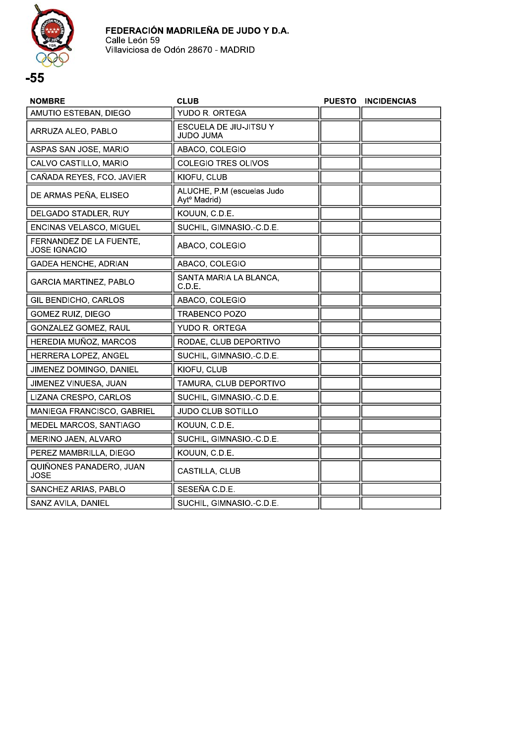

| <b>NOMBRE</b>                                  | <b>CLUB</b>                                            | <b>PUESTO</b> | <b>INCIDENCIAS</b> |
|------------------------------------------------|--------------------------------------------------------|---------------|--------------------|
| AMUTIO ESTEBAN, DIEGO                          | YUDO R. ORTEGA                                         |               |                    |
| ARRUZA ALEO, PABLO                             | ESCUELA DE JIU-JITSU Y<br><b>JUDO JUMA</b>             |               |                    |
| ASPAS SAN JOSE, MARIO                          | ABACO, COLEGIO                                         |               |                    |
| CALVO CASTILLO, MARIO                          | COLEGIO TRES OLIVOS                                    |               |                    |
| CAÑADA REYES, FCO. JAVIER                      | KIOFU, CLUB                                            |               |                    |
| DE ARMAS PEÑA, ELISEO                          | ALUCHE, P.M (escuelas Judo<br>Ayt <sup>o</sup> Madrid) |               |                    |
| DELGADO STADLER, RUY                           | KOUUN, C.D.E.                                          |               |                    |
| ENCINAS VELASCO, MIGUEL                        | SUCHIL, GIMNASIO.-C.D.E.                               |               |                    |
| FERNANDEZ DE LA FUENTE,<br><b>JOSE IGNACIO</b> | ABACO, COLEGIO                                         |               |                    |
| GADEA HENCHE, ADRIAN                           | ABACO, COLEGIO                                         |               |                    |
| <b>GARCIA MARTINEZ, PABLO</b>                  | SANTA MARIA LA BLANCA,<br>C.D.E.                       |               |                    |
| GIL BENDICHO, CARLOS                           | ABACO, COLEGIO                                         |               |                    |
| GOMEZ RUIZ, DIEGO                              | <b>TRABENCO POZO</b>                                   |               |                    |
| GONZALEZ GOMEZ, RAUL                           | YUDO R. ORTEGA                                         |               |                    |
| HEREDIA MUÑOZ, MARCOS                          | RODAE, CLUB DEPORTIVO                                  |               |                    |
| HERRERA LOPEZ, ANGEL                           | SUCHIL, GIMNASIO.-C.D.E.                               |               |                    |
| JIMENEZ DOMINGO, DANIEL                        | KIOFU, CLUB                                            |               |                    |
| JIMENEZ VINUESA, JUAN                          | TAMURA, CLUB DEPORTIVO                                 |               |                    |
| LIZANA CRESPO, CARLOS                          | SUCHIL, GIMNASIO.-C.D.E.                               |               |                    |
| MANIEGA FRANCISCO, GABRIEL                     | JUDO CLUB SOTILLO                                      |               |                    |
| MEDEL MARCOS, SANTIAGO                         | KOUUN, C.D.E.                                          |               |                    |
| MERINO JAEN, ALVARO                            | SUCHIL, GIMNASIO.-C.D.E.                               |               |                    |
| PEREZ MAMBRILLA, DIEGO                         | KOUUN, C.D.E.                                          |               |                    |
| QUIÑONES PANADERO, JUAN<br><b>JOSE</b>         | CASTILLA, CLUB                                         |               |                    |
| SANCHEZ ARIAS, PABLO                           | SESEÑA C.D.E.                                          |               |                    |
| SANZ AVILA, DANIEL                             | SUCHIL, GIMNASIO.-C.D.E.                               |               |                    |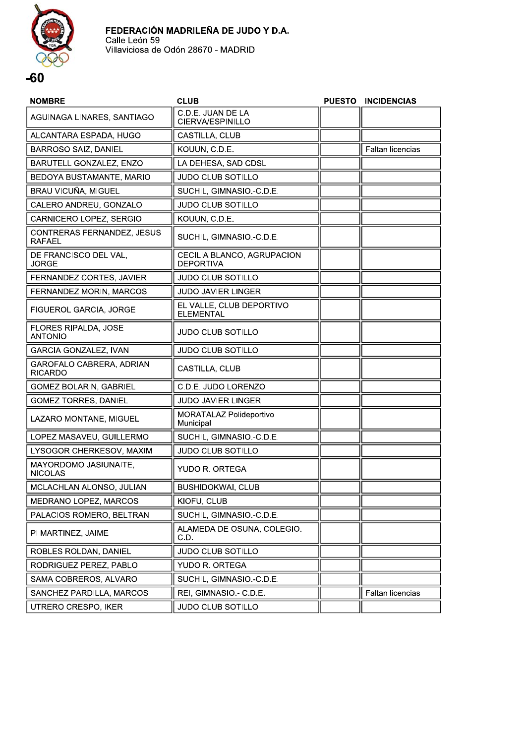

| <b>NOMBRE</b>                               | <b>CLUB</b>                                    | PUESTO INCIDENCIAS |
|---------------------------------------------|------------------------------------------------|--------------------|
| AGUINAGA LINARES, SANTIAGO                  | C.D.E. JUAN DE LA<br>CIERVA/ESPINILLO          |                    |
| ALCANTARA ESPADA, HUGO                      | CASTILLA, CLUB                                 |                    |
| <b>BARROSO SAIZ, DANIEL</b>                 | KOUUN, C.D.E.                                  | Faltan licencias   |
| BARUTELL GONZALEZ, ENZO                     | LA DEHESA, SAD CDSL                            |                    |
| BEDOYA BUSTAMANTE, MARIO                    | <b>JUDO CLUB SOTILLO</b>                       |                    |
| <b>BRAU VICUÑA, MIGUEL</b>                  | SUCHIL, GIMNASIO.-C.D.E.                       |                    |
| CALERO ANDREU, GONZALO                      | <b>JUDO CLUB SOTILLO</b>                       |                    |
| CARNICERO LOPEZ, SERGIO                     | KOUUN, C.D.E.                                  |                    |
| CONTRERAS FERNANDEZ, JESUS<br><b>RAFAEL</b> | SUCHIL, GIMNASIO.-C.D.E.                       |                    |
| DE FRANCISCO DEL VAL,<br><b>JORGE</b>       | CECILIA BLANCO, AGRUPACION<br><b>DEPORTIVA</b> |                    |
| FERNANDEZ CORTES, JAVIER                    | <b>JUDO CLUB SOTILLO</b>                       |                    |
| FERNANDEZ MORIN, MARCOS                     | <b>JUDO JAVIER LINGER</b>                      |                    |
| FIGUEROL GARCIA, JORGE                      | EL VALLE, CLUB DEPORTIVO<br><b>ELEMENTAL</b>   |                    |
| FLORES RIPALDA, JOSE<br><b>ANTONIO</b>      | <b>JUDO CLUB SOTILLO</b>                       |                    |
| <b>GARCIA GONZALEZ, IVAN</b>                | <b>JUDO CLUB SOTILLO</b>                       |                    |
| GAROFALO CABRERA, ADRIAN<br><b>RICARDO</b>  | CASTILLA, CLUB                                 |                    |
| <b>GOMEZ BOLARIN, GABRIEL</b>               | C.D.E. JUDO LORENZO                            |                    |
| <b>GOMEZ TORRES, DANIEL</b>                 | <b>JUDO JAVIER LINGER</b>                      |                    |
| LAZARO MONTANE, MIGUEL                      | MORATALAZ Polideportivo<br>Municipal           |                    |
| LOPEZ MASAVEU, GUILLERMO                    | SUCHIL, GIMNASIO.-C.D.E.                       |                    |
| LYSOGOR CHERKESOV, MAXIM                    | <b>JUDO CLUB SOTILLO</b>                       |                    |
| MAYORDOMO JASIUNAITE,<br><b>NICOLAS</b>     | YUDO R. ORTEGA                                 |                    |
| MCLACHLAN ALONSO, JULIAN                    | <b>BUSHIDOKWAI, CLUB</b>                       |                    |
| MEDRANO LOPEZ, MARCOS                       | KIOFU, CLUB                                    |                    |
| PALACIOS ROMERO, BELTRAN                    | SUCHIL, GIMNASIO.-C.D.E.                       |                    |
| PI MARTINEZ, JAIME                          | ALAMEDA DE OSUNA, COLEGIO.<br>C.D.             |                    |
| ROBLES ROLDAN, DANIEL                       | <b>JUDO CLUB SOTILLO</b>                       |                    |
| RODRIGUEZ PEREZ, PABLO                      | YUDO R. ORTEGA                                 |                    |
| SAMA COBREROS, ALVARO                       | SUCHIL, GIMNASIO.-C.D.E.                       |                    |
| SANCHEZ PARDILLA, MARCOS                    | REI, GIMNASIO.- C.D.E.                         | Faltan licencias   |
| UTRERO CRESPO, IKER                         | <b>JUDO CLUB SOTILLO</b>                       |                    |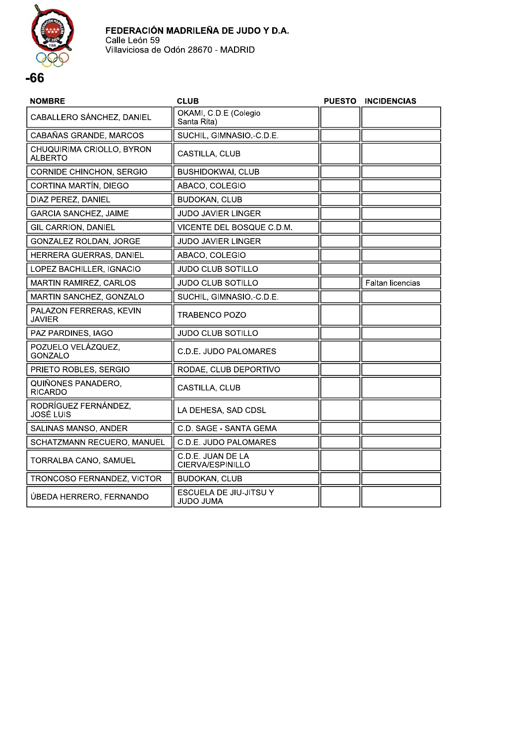

| <b>NOMBRE</b>                               | <b>CLUB</b>                           | <b>PUESTO</b> | <b>INCIDENCIAS</b>      |
|---------------------------------------------|---------------------------------------|---------------|-------------------------|
| CABALLERO SÁNCHEZ, DANIEL                   | OKAMI, C.D.E (Colegio<br>Santa Rita)  |               |                         |
| CABAÑAS GRANDE, MARCOS                      | SUCHIL, GIMNASIO.-C.D.E.              |               |                         |
| CHUQUIRIMA CRIOLLO, BYRON<br><b>ALBERTO</b> | CASTILLA, CLUB                        |               |                         |
| CORNIDE CHINCHON, SERGIO                    | <b>BUSHIDOKWAI, CLUB</b>              |               |                         |
| CORTINA MARTÍN, DIEGO                       | ABACO, COLEGIO                        |               |                         |
| DIAZ PEREZ, DANIEL                          | <b>BUDOKAN, CLUB</b>                  |               |                         |
| <b>GARCIA SANCHEZ, JAIME</b>                | <b>JUDO JAVIER LINGER</b>             |               |                         |
| <b>GIL CARRION, DANIEL</b>                  | VICENTE DEL BOSQUE C.D.M.             |               |                         |
| <b>GONZALEZ ROLDAN, JORGE</b>               | <b>JUDO JAVIER LINGER</b>             |               |                         |
| HERRERA GUERRAS, DANIEL                     | ABACO, COLEGIO                        |               |                         |
| LOPEZ BACHILLER, IGNACIO                    | <b>JUDO CLUB SOTILLO</b>              |               |                         |
| MARTIN RAMIREZ, CARLOS                      | <b>JUDO CLUB SOTILLO</b>              |               | <b>Faltan licencias</b> |
| MARTIN SANCHEZ, GONZALO                     | SUCHIL, GIMNASIO.-C.D.E.              |               |                         |
| PALAZON FERRERAS, KEVIN<br><b>JAVIER</b>    | TRABENCO POZO                         |               |                         |
| PAZ PARDINES, IAGO                          | JUDO CLUB SOTILLO                     |               |                         |
| POZUELO VELÁZQUEZ,<br>GONZALO               | C.D.E. JUDO PALOMARES                 |               |                         |
| PRIETO ROBLES, SERGIO                       | RODAE, CLUB DEPORTIVO                 |               |                         |
| QUIÑONES PANADERO,<br><b>RICARDO</b>        | CASTILLA, CLUB                        |               |                         |
| RODRÍGUEZ FERNÁNDEZ,<br><b>JOSÉ LUIS</b>    | LA DEHESA, SAD CDSL                   |               |                         |
| SALINAS MANSO, ANDER                        | C.D. SAGE - SANTA GEMA                |               |                         |
| SCHATZMANN RECUERO, MANUEL                  | C.D.E. JUDO PALOMARES                 |               |                         |
| TORRALBA CANO, SAMUEL                       | C.D.E. JUAN DE LA<br>CIERVA/ESPINILLO |               |                         |
| TRONCOSO FERNANDEZ, VICTOR                  | BUDOKAN, CLUB                         |               |                         |
| ÚBEDA HERRERO, FERNANDO                     | ESCUELA DE JIU-JITSU Y<br>JUDO JUMA   |               |                         |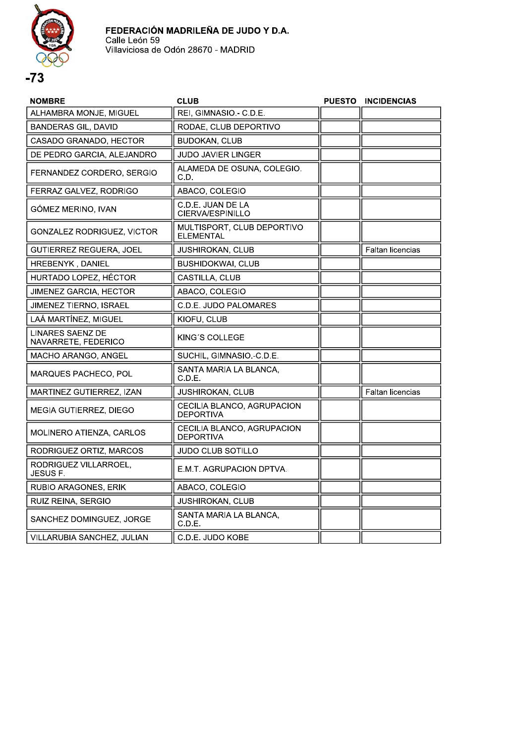

| <b>NOMBRE</b>                                  | <b>CLUB</b>                                    | <b>PUESTO</b> | <b>INCIDENCIAS</b> |
|------------------------------------------------|------------------------------------------------|---------------|--------------------|
| ALHAMBRA MONJE, MIGUEL                         | REI, GIMNASIO.- C.D.E.                         |               |                    |
| <b>BANDERAS GIL, DAVID</b>                     | RODAE, CLUB DEPORTIVO                          |               |                    |
| CASADO GRANADO, HECTOR                         | <b>BUDOKAN, CLUB</b>                           |               |                    |
| DE PEDRO GARCIA, ALEJANDRO                     | JUDO JAVIER LINGER                             |               |                    |
| FERNANDEZ CORDERO, SERGIO                      | ALAMEDA DE OSUNA, COLEGIO.<br>C.D.             |               |                    |
| FERRAZ GALVEZ, RODRIGO                         | ABACO, COLEGIO                                 |               |                    |
| GÓMEZ MERINO, IVAN                             | C.D.E. JUAN DE LA<br>CIERVA/ESPINILLO          |               |                    |
| <b>GONZALEZ RODRIGUEZ, VICTOR</b>              | MULTISPORT, CLUB DEPORTIVO<br><b>ELEMENTAL</b> |               |                    |
| <b>GUTIERREZ REGUERA, JOEL</b>                 | <b>JUSHIROKAN, CLUB</b>                        |               | Faltan licencias   |
| HREBENYK, DANIEL                               | <b>BUSHIDOKWAI, CLUB</b>                       |               |                    |
| HURTADO LOPEZ, HÉCTOR                          | CASTILLA, CLUB                                 |               |                    |
| JIMENEZ GARCIA, HECTOR                         | ABACO, COLEGIO                                 |               |                    |
| <b>JIMENEZ TIERNO, ISRAEL</b>                  | C.D.E. JUDO PALOMARES                          |               |                    |
| LAÁ MARTÍNEZ, MIGUEL                           | KIOFU, CLUB                                    |               |                    |
| <b>LINARES SAENZ DE</b><br>NAVARRETE, FEDERICO | KING'S COLLEGE                                 |               |                    |
| MACHO ARANGO, ANGEL                            | SUCHIL, GIMNASIO.-C.D.E.                       |               |                    |
| <b>MARQUES PACHECO, POL</b>                    | SANTA MARIA LA BLANCA.<br>C.D.E.               |               |                    |
| MARTINEZ GUTIERREZ, IZAN                       | <b>JUSHIROKAN, CLUB</b>                        |               | Faltan licencias   |
| MEGIA GUTIERREZ, DIEGO                         | CECILIA BLANCO, AGRUPACION<br><b>DEPORTIVA</b> |               |                    |
| <b>MOLINERO ATIENZA, CARLOS</b>                | CECILIA BLANCO, AGRUPACION<br><b>DEPORTIVA</b> |               |                    |
| RODRIGUEZ ORTIZ, MARCOS                        | JUDO CLUB SOTILLO                              |               |                    |
| RODRIGUEZ VILLARROEL,<br>JESUS F.              | E.M.T. AGRUPACION DPTVA.                       |               |                    |
| RUBIO ARAGONES, ERIK                           | ABACO, COLEGIO                                 |               |                    |
| RUIZ REINA, SERGIO                             | <b>JUSHIROKAN, CLUB</b>                        |               |                    |
| SANCHEZ DOMINGUEZ, JORGE                       | SANTA MARIA LA BLANCA.<br>C.D.E.               |               |                    |
| VILLARUBIA SANCHEZ, JULIAN                     | C.D.E. JUDO KOBE                               |               |                    |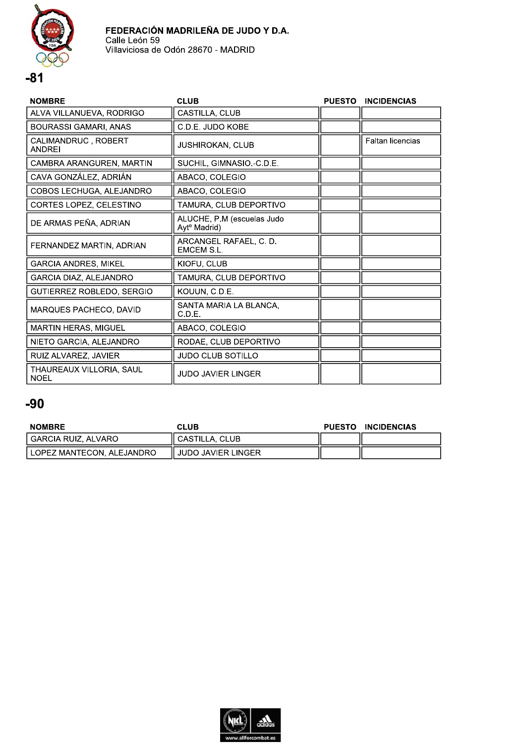

| <b>NOMBRE</b>                           | <b>CLUB</b>                                            | <b>PUESTO</b> | <b>INCIDENCIAS</b>      |
|-----------------------------------------|--------------------------------------------------------|---------------|-------------------------|
| ALVA VILLANUEVA, RODRIGO                | CASTILLA, CLUB                                         |               |                         |
| <b>BOURASSI GAMARI, ANAS</b>            | C.D.E. JUDO KOBE                                       |               |                         |
| CALIMANDRUC, ROBERT<br><b>ANDREI</b>    | <b>JUSHIROKAN, CLUB</b>                                |               | <b>Faltan licencias</b> |
| CAMBRA ARANGUREN, MARTIN                | SUCHIL, GIMNASIO.-C.D.E.                               |               |                         |
| CAVA GONZÁLEZ, ADRIÁN                   | ABACO, COLEGIO                                         |               |                         |
| COBOS LECHUGA, ALEJANDRO                | ABACO, COLEGIO                                         |               |                         |
| CORTES LOPEZ, CELESTINO                 | TAMURA, CLUB DEPORTIVO                                 |               |                         |
| DE ARMAS PEÑA, ADRIAN                   | ALUCHE, P.M (escuelas Judo<br>Ayt <sup>o</sup> Madrid) |               |                         |
| FERNANDEZ MARTIN, ADRIAN                | ARCANGEL RAFAEL, C. D.<br>EMCEM S.L.                   |               |                         |
| <b>GARCIA ANDRES, MIKEL</b>             | KIOFU, CLUB                                            |               |                         |
| GARCIA DIAZ, ALEJANDRO                  | TAMURA, CLUB DEPORTIVO                                 |               |                         |
| GUTIERREZ ROBLEDO, SERGIO               | KOUUN, C.D.E.                                          |               |                         |
| MARQUES PACHECO, DAVID                  | SANTA MARIA LA BLANCA,<br>C.D.E.                       |               |                         |
| <b>MARTIN HERAS, MIGUEL</b>             | ABACO, COLEGIO                                         |               |                         |
| NIETO GARCIA, ALEJANDRO                 | RODAE, CLUB DEPORTIVO                                  |               |                         |
| RUIZ ALVAREZ, JAVIER                    | <b>JUDO CLUB SOTILLO</b>                               |               |                         |
| THAUREAUX VILLORIA, SAUL<br><b>NOEL</b> | <b>JUDO JAVIER LINGER</b>                              |               |                         |

| <b>NOMBRE</b>             | <b>CLUB</b>        | <b>PUESTO</b> | <b>INCIDENCIAS</b> |
|---------------------------|--------------------|---------------|--------------------|
| GARCIA RUIZ, ALVARO       | CASTILLA, CLUB     |               |                    |
| LOPEZ MANTECON, ALEJANDRO | JUDO JAVIER LINGER |               |                    |

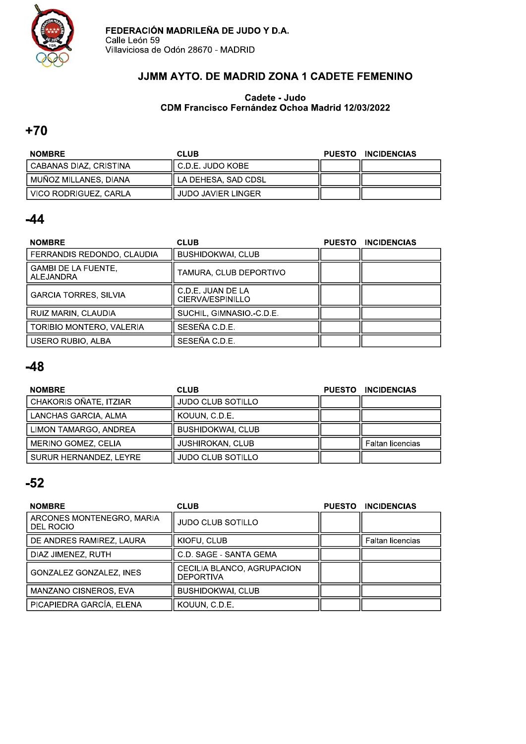

## JJMM AYTO. DE MADRID ZONA 1 CADETE FEMENINO

#### Cadete - Judo CDM Francisco Fernández Ochoa Madrid 12/03/2022

# $+70$

| <b>NOMBRE</b>          | <b>CLUB</b>           | PUESTO INCIDENCIAS |
|------------------------|-----------------------|--------------------|
| CABANAS DIAZ. CRISTINA | II C.D.E. JUDO KOBE I |                    |
| MUÑOZ MILLANES, DIANA  | l LA DEHESA. SAD CDSL |                    |
| VICO RODRIGUEZ, CARLA  | i JUDO JAVIER LINGER  |                    |

### $-44$

| <b>NOMBRE</b>                           | <b>CLUB</b>                           | <b>PUESTO</b> | <b>INCIDENCIAS</b> |
|-----------------------------------------|---------------------------------------|---------------|--------------------|
| FERRANDIS REDONDO, CLAUDIA              | <b>BUSHIDOKWAI, CLUB</b>              |               |                    |
| <b>GAMBI DE LA FUENTE,</b><br>ALEJANDRA | TAMURA, CLUB DEPORTIVO                |               |                    |
| <b>GARCIA TORRES, SILVIA</b>            | C.D.E. JUAN DE LA<br>CIERVA/ESPINILLO |               |                    |
| RUIZ MARIN, CLAUDIA                     | SUCHIL, GIMNASIO.-C.D.E.              |               |                    |
| TORIBIO MONTERO, VALERIA                | SESEÑA C.D.E.                         |               |                    |
| <b>USERO RUBIO, ALBA</b>                | SESEÑA C.D.E.                         |               |                    |

# $-48$

| <b>NOMBRE</b>          | <b>CLUB</b>              | <b>PUESTO</b> | <b>INCIDENCIAS</b> |
|------------------------|--------------------------|---------------|--------------------|
| CHAKORIS OÑATE, ITZIAR | <b>JUDO CLUB SOTILLO</b> |               |                    |
| LANCHAS GARCIA, ALMA   | KOUUN, C.D.E.            |               |                    |
| LIMON TAMARGO, ANDREA  | <b>BUSHIDOKWAI, CLUB</b> |               |                    |
| MERINO GOMEZ, CELIA    | <b>JUSHIROKAN, CLUB</b>  |               | Faltan licencias   |
| SURUR HERNANDEZ, LEYRE | JUDO CLUB SOTILLO        |               |                    |

| <b>NOMBRE</b>                          | <b>CLUB</b>                                    | <b>PUESTO</b> | <b>INCIDENCIAS</b> |
|----------------------------------------|------------------------------------------------|---------------|--------------------|
| ARCONES MONTENEGRO, MARIA<br>DEL ROCIO | <b>JUDO CLUB SOTILLO</b>                       |               |                    |
| DE ANDRES RAMIREZ, LAURA               | KIOFU, CLUB                                    |               | Faltan licencias   |
| DIAZ JIMENEZ, RUTH                     | C.D. SAGE - SANTA GEMA                         |               |                    |
| GONZALEZ GONZALEZ, INES                | CECILIA BLANCO, AGRUPACION<br><b>DEPORTIVA</b> |               |                    |
| MANZANO CISNEROS, EVA                  | <b>BUSHIDOKWAI, CLUB</b>                       |               |                    |
| PICAPIEDRA GARCÍA, ELENA               | KOUUN, C.D.E.                                  |               |                    |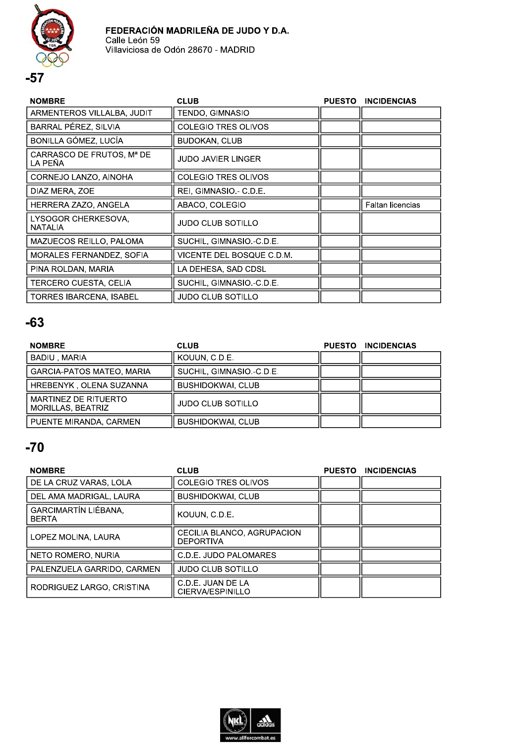

| <b>NOMBRE</b>                         | <b>CLUB</b>               | <b>PUESTO</b> | <b>INCIDENCIAS</b> |
|---------------------------------------|---------------------------|---------------|--------------------|
| ARMENTEROS VILLALBA, JUDIT            | TENDO, GIMNASIO           |               |                    |
| BARRAL PÉREZ, SILVIA                  | COLEGIO TRES OLIVOS       |               |                    |
| BONILLA GÓMEZ, LUCÍA                  | <b>BUDOKAN, CLUB</b>      |               |                    |
| CARRASCO DE FRUTOS, Mª DE<br>LA PEÑA  | JUDO JAVIER LINGER        |               |                    |
| CORNEJO LANZO, AINOHA                 | COLEGIO TRES OLIVOS       |               |                    |
| DIAZ MERA, ZOE                        | REI, GIMNASIO.- C.D.E.    |               |                    |
| HERRERA ZAZO, ANGELA                  | ABACO, COLEGIO            |               | Faltan licencias   |
| LYSOGOR CHERKESOVA,<br><b>NATALIA</b> | JUDO CLUB SOTILLO         |               |                    |
| <b>MAZUECOS REILLO, PALOMA</b>        | SUCHIL, GIMNASIO.-C.D.E.  |               |                    |
| MORALES FERNANDEZ, SOFIA              | VICENTE DEL BOSQUE C.D.M. |               |                    |
| PINA ROLDAN, MARIA                    | LA DEHESA. SAD CDSL       |               |                    |
| TERCERO CUESTA, CELIA                 | SUCHIL, GIMNASIO.-C.D.E.  |               |                    |
| TORRES IBARCENA, ISABEL               | <b>JUDO CLUB SOTILLO</b>  |               |                    |

# $-63$

| <b>NOMBRE</b>                                    | <b>CLUB</b>              | <b>PUESTO</b> | <b>INCIDENCIAS</b> |
|--------------------------------------------------|--------------------------|---------------|--------------------|
| <b>BADIU, MARIA</b>                              | KOUUN, C.D.E.            |               |                    |
| <b>GARCIA-PATOS MATEO, MARIA</b>                 | SUCHIL, GIMNASIO.-C.D.E. |               |                    |
| HREBENYK, OLENA SUZANNA                          | <b>BUSHIDOKWAI, CLUB</b> |               |                    |
| <b>MARTINEZ DE RITUERTO</b><br>MORILLAS, BEATRIZ | <b>JUDO CLUB SOTILLO</b> |               |                    |
| PUENTE MIRANDA, CARMEN                           | <b>BUSHIDOKWAI, CLUB</b> |               |                    |

| <b>NOMBRE</b>                               | <b>CLUB</b>                                    | PUESTO INCIDENCIAS |
|---------------------------------------------|------------------------------------------------|--------------------|
| DE LA CRUZ VARAS. LOLA                      | COLEGIO TRES OLIVOS                            |                    |
| DEL AMA MADRIGAL, LAURA                     | <b>BUSHIDOKWAI, CLUB</b>                       |                    |
| <b>GARCIMARTÍN LIÉBANA,</b><br><b>BERTA</b> | KOUUN, C.D.E.                                  |                    |
| LOPEZ MOLINA, LAURA                         | CECILIA BLANCO, AGRUPACION<br><b>DEPORTIVA</b> |                    |
| NETO ROMERO, NURIA                          | C.D.E. JUDO PALOMARES                          |                    |
| PALENZUELA GARRIDO, CARMEN                  | <b>JUDO CLUB SOTILLO</b>                       |                    |
| RODRIGUEZ LARGO, CRISTINA                   | C.D.E. JUAN DE LA<br>CIERVA/ESPINILLO          |                    |

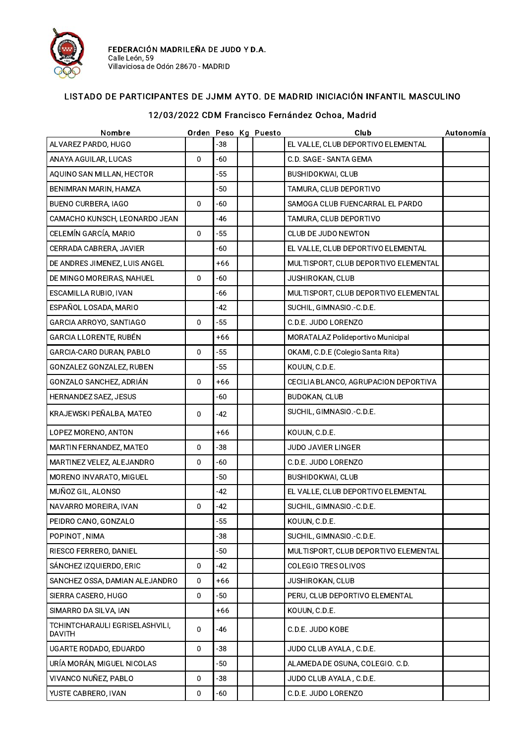

### LISTADO DE PARTICIPANTES DE JJMM AYTO. DE MADRID INICIACIÓN INFANTIL MASCULINO

| Nombre                                          |             |       | Orden Peso Kg Puesto | Club                                 | Autonomía |
|-------------------------------------------------|-------------|-------|----------------------|--------------------------------------|-----------|
| ALVAREZ PARDO, HUGO                             |             | $-38$ |                      | EL VALLE, CLUB DEPORTIVO ELEMENTAL   |           |
| ANAYA AGUILAR, LUCAS                            | $\Omega$    | $-60$ |                      | C.D. SAGE - SANTA GEMA               |           |
| AQUINO SAN MILLAN, HECTOR                       |             | $-55$ |                      | <b>BUSHIDOKWAI, CLUB</b>             |           |
| BENIMRAN MARIN, HAMZA                           |             | $-50$ |                      | TAMURA, CLUB DEPORTIVO               |           |
| <b>BUENO CURBERA, IAGO</b>                      | 0           | -60   |                      | SAMOGA CLUB FUENCARRAL EL PARDO      |           |
| CAMACHO KUNSCH, LEONARDO JEAN                   |             | -46   |                      | TAMURA, CLUB DEPORTIVO               |           |
| CELEMÍN GARCÍA, MARIO                           | 0           | $-55$ |                      | CLUB DE JUDO NEWTON                  |           |
| CERRADA CABRERA, JAVIER                         |             | $-60$ |                      | EL VALLE, CLUB DEPORTIVO ELEMENTAL   |           |
| DE ANDRES JIMENEZ, LUIS ANGEL                   |             | $+66$ |                      | MULTISPORT, CLUB DEPORTIVO ELEMENTAL |           |
| DE MINGO MOREIRAS, NAHUEL                       | 0           | -60   |                      | <b>JUSHIROKAN, CLUB</b>              |           |
| ESCAMILLA RUBIO, IVAN                           |             | $-66$ |                      | MULTISPORT, CLUB DEPORTIVO ELEMENTAL |           |
| ESPAÑOL LOSADA, MARIO                           |             | $-42$ |                      | SUCHIL, GIMNASIO.-C.D.E.             |           |
| GARCIA ARROYO, SANTIAGO                         | $\Omega$    | $-55$ |                      | C.D.E. JUDO LORENZO                  |           |
| GARCIA LLORENTE, RUBÉN                          |             | $+66$ |                      | MORATALAZ Polideportivo Municipal    |           |
| GARCIA-CARO DURAN, PABLO                        | 0           | $-55$ |                      | OKAMI, C.D.E (Colegio Santa Rita)    |           |
| GONZALEZ GONZALEZ, RUBEN                        |             | $-55$ |                      | KOUUN, C.D.E.                        |           |
| GONZALO SANCHEZ, ADRIÁN                         | $\mathbf 0$ | $+66$ |                      | CECILIA BLANCO, AGRUPACION DEPORTIVA |           |
| HERNANDEZ SAEZ, JESUS                           |             | -60   |                      | <b>BUDOKAN, CLUB</b>                 |           |
| KRAJEWSKI PEÑALBA, MATEO                        | 0           | -42   |                      | SUCHIL, GIMNASIO.-C.D.E.             |           |
| LOPEZ MORENO, ANTON                             |             | $+66$ |                      | KOUUN, C.D.E.                        |           |
| MARTIN FERNANDEZ, MATEO                         | 0           | $-38$ |                      | JUDO JAVIER LINGER                   |           |
| MARTINEZ VELEZ, ALEJANDRO                       | 0           | -60   |                      | C.D.E. JUDO LORENZO                  |           |
| MORENO INVARATO, MIGUEL                         |             | $-50$ |                      | <b>BUSHIDOKWAI, CLUB</b>             |           |
| MUÑOZ GIL, ALONSO                               |             | $-42$ |                      | EL VALLE, CLUB DEPORTIVO ELEMENTAL   |           |
| NAVARRO MOREIRA, IVAN                           | 0           | $-42$ |                      | SUCHIL, GIMNASIO.-C.D.E.             |           |
| PEIDRO CANO, GONZALO                            |             | $-55$ |                      | KOUUN, C.D.E.                        |           |
| POPINOT, NIMA                                   |             | $-38$ |                      | SUCHIL, GIMNASIO.-C.D.E.             |           |
| RIESCO FERRERO, DANIEL                          |             | $-50$ |                      | MULTISPORT, CLUB DEPORTIVO ELEMENTAL |           |
| SÁNCHEZ IZQUIERDO, ERIC                         | 0           | $-42$ |                      | COLEGIO TRES OLIVOS                  |           |
| SANCHEZ OSSA, DAMIAN ALEJANDRO                  | 0           | $+66$ |                      | JUSHIROKAN, CLUB                     |           |
| SIERRA CASERO, HUGO                             | 0           | -50   |                      | PERU, CLUB DEPORTIVO ELEMENTAL       |           |
| SIMARRO DA SILVA, IAN                           |             | +66   |                      | KOUUN, C.D.E.                        |           |
| TCHINTCHARAULI EGRISELASHVILI,<br><b>DAVITH</b> | $\mathbf 0$ | -46   |                      | C.D.E. JUDO KOBE                     |           |
| UGARTE RODADO, EDUARDO                          | 0           | $-38$ |                      | JUDO CLUB AYALA, C.D.E.              |           |
| URÍA MORÁN, MIGUEL NICOLAS                      |             | $-50$ |                      | ALAMEDA DE OSUNA, COLEGIO. C.D.      |           |
| VIVANCO NUÑEZ, PABLO                            | 0           | $-38$ |                      | JUDO CLUB AYALA, C.D.E.              |           |
| YUSTE CABRERO, IVAN                             | 0           | -60   |                      | C.D.E. JUDO LORENZO                  |           |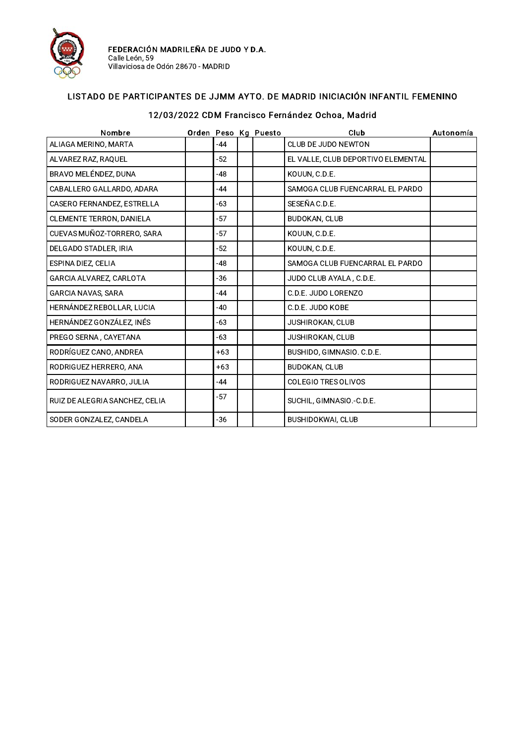

#### LISTADO DE PARTICIPANTES DE JJMM AYTO. DE MADRID INICIACIÓN INFANTIL FEMENINO

| Nombre                         |       | Orden Peso Kg Puesto | Club                               | Autonomía |
|--------------------------------|-------|----------------------|------------------------------------|-----------|
| ALIAGA MERINO, MARTA           | $-44$ |                      | CLUB DE JUDO NEWTON                |           |
| ALVAREZ RAZ, RAQUEL            | $-52$ |                      | EL VALLE, CLUB DEPORTIVO ELEMENTAL |           |
| BRAVO MELÉNDEZ, DUNA           | $-48$ |                      | KOUUN, C.D.E.                      |           |
| CABALLERO GALLARDO, ADARA      | -44   |                      | SAMOGA CLUB FUENCARRAL EL PARDO    |           |
| CASERO FERNANDEZ, ESTRELLA     | $-63$ |                      | SESEÑA C.D.E.                      |           |
| CLEMENTE TERRON, DANIELA       | $-57$ |                      | <b>BUDOKAN, CLUB</b>               |           |
| CUEVAS MUÑOZ-TORRERO, SARA     | $-57$ |                      | KOUUN, C.D.E.                      |           |
| DELGADO STADLER, IRIA          | $-52$ |                      | KOUUN, C.D.E.                      |           |
| ESPINA DIEZ, CELIA             | $-48$ |                      | SAMOGA CLUB FUENCARRAL EL PARDO    |           |
| <b>GARCIA ALVAREZ, CARLOTA</b> | -36   |                      | JUDO CLUB AYALA, C.D.E.            |           |
| <b>GARCIA NAVAS, SARA</b>      | $-44$ |                      | C.D.E. JUDO LORENZO                |           |
| HERNÁNDEZ REBOLLAR, LUCIA      | $-40$ |                      | C.D.E. JUDO KOBE                   |           |
| HERNÁNDEZ GONZÁLEZ, INÉS       | -63   |                      | <b>JUSHIROKAN, CLUB</b>            |           |
| PREGO SERNA, CAYETANA          | $-63$ |                      | <b>JUSHIROKAN, CLUB</b>            |           |
| RODRÍGUEZ CANO, ANDREA         | $+63$ |                      | BUSHIDO, GIMNASIO. C.D.E.          |           |
| RODRIGUEZ HERRERO, ANA         | $+63$ |                      | <b>BUDOKAN, CLUB</b>               |           |
| RODRIGUEZ NAVARRO, JULIA       | $-44$ |                      | COLEGIO TRES OLIVOS                |           |
| RUIZ DE ALEGRIA SANCHEZ, CELIA | $-57$ |                      | SUCHIL, GIMNASIO.-C.D.E.           |           |
| SODER GONZALEZ, CANDELA        | $-36$ |                      | <b>BUSHIDOKWAI, CLUB</b>           |           |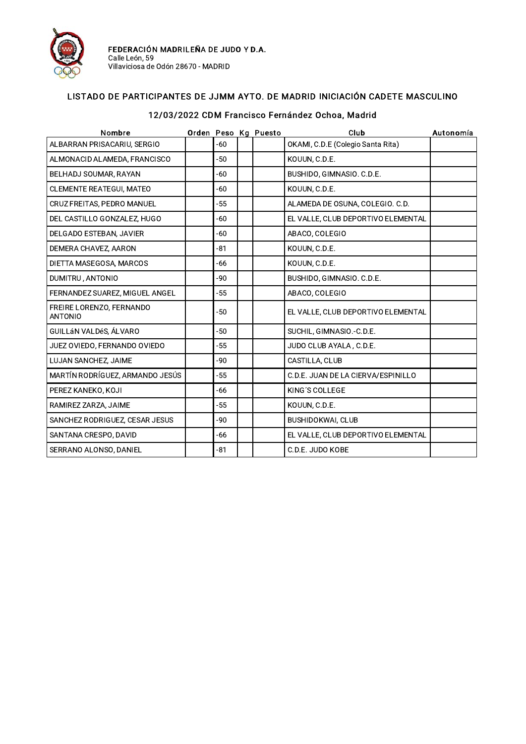

#### LISTADO DE PARTICIPANTES DE JJMM AYTO. DE MADRID INICIACIÓN CADETE MASCULINO

| Nombre                              |       | Orden Peso Kg Puesto | Club                               | Autonomía |
|-------------------------------------|-------|----------------------|------------------------------------|-----------|
| ALBARRAN PRISACARIU, SERGIO         | $-60$ |                      | OKAMI, C.D.E (Colegio Santa Rita)  |           |
| ALMONACID ALAMEDA, FRANCISCO        | -50   |                      | KOUUN, C.D.E.                      |           |
| BELHADJ SOUMAR, RAYAN               | $-60$ |                      | BUSHIDO, GIMNASIO. C.D.E.          |           |
| CLEMENTE REATEGUI, MATEO            | -60   |                      | KOUUN, C.D.E.                      |           |
| CRUZ FREITAS, PEDRO MANUEL          | $-55$ |                      | ALAMEDA DE OSUNA, COLEGIO. C.D.    |           |
| DEL CASTILLO GONZALEZ, HUGO         | $-60$ |                      | EL VALLE, CLUB DEPORTIVO ELEMENTAL |           |
| DELGADO ESTEBAN, JAVIER             | $-60$ |                      | ABACO, COLEGIO                     |           |
| DEMERA CHAVEZ, AARON                | -81   |                      | KOUUN, C.D.E.                      |           |
| DIETTA MASEGOSA, MARCOS             | -66   |                      | KOUUN, C.D.E.                      |           |
| DUMITRU, ANTONIO                    | $-90$ |                      | BUSHIDO, GIMNASIO. C.D.E.          |           |
| FERNANDEZ SUAREZ, MIGUEL ANGEL      | $-55$ |                      | ABACO, COLEGIO                     |           |
| FREIRE LORENZO, FERNANDO<br>ANTONIO | $-50$ |                      | EL VALLE, CLUB DEPORTIVO ELEMENTAL |           |
| GUILLáN VALDéS, ÁLVARO              | $-50$ |                      | SUCHIL, GIMNASIO.-C.D.E.           |           |
| JUEZ OVIEDO, FERNANDO OVIEDO        | $-55$ |                      | JUDO CLUB AYALA, C.D.E.            |           |
| LUJAN SANCHEZ, JAIME                | $-90$ |                      | CASTILLA, CLUB                     |           |
| MARTÍN RODRÍGUEZ, ARMANDO JESÚS     | $-55$ |                      | C.D.E. JUAN DE LA CIERVA/ESPINILLO |           |
| PEREZ KANEKO, KOJI                  | $-66$ |                      | KING'S COLLEGE                     |           |
| RAMIREZ ZARZA, JAIME                | $-55$ |                      | KOUUN, C.D.E.                      |           |
| SANCHEZ RODRIGUEZ, CESAR JESUS      | -90   |                      | BUSHIDOKWAI, CLUB                  |           |
| SANTANA CRESPO, DAVID               | $-66$ |                      | EL VALLE, CLUB DEPORTIVO ELEMENTAL |           |
| SERRANO ALONSO, DANIEL              | -81   |                      | C.D.E. JUDO KOBE                   |           |